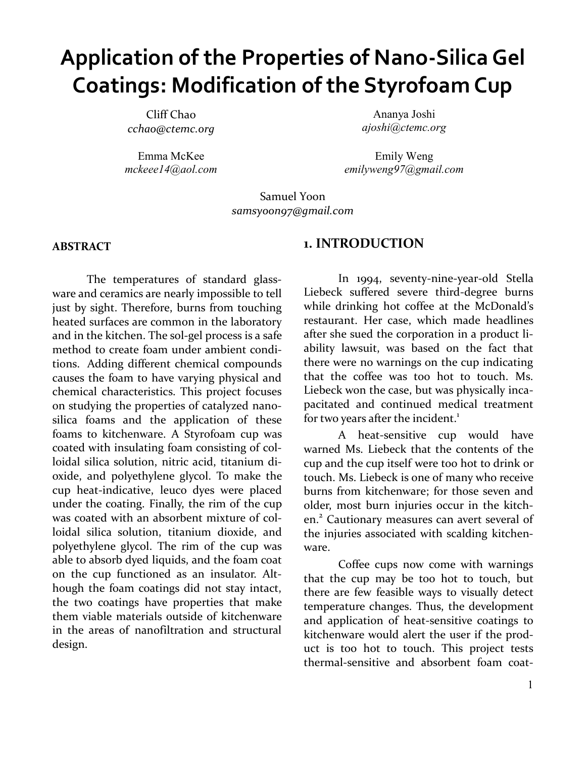# **Application of the Properties of Nano-Silica Gel Coatings: Modification of the Styrofoam Cup**

Cliff Chao *cchao@ctemc.org*

Emma McKee *mckeee14@aol.com*

Ananya Joshi *ajoshi@ctemc.org*

Emily Weng *emilyweng97@gmail.com*

Samuel Yoon *samsyoon97@gmail.com*

#### **ABSTRACT**

The temperatures of standard glassware and ceramics are nearly impossible to tell just by sight. Therefore, burns from touching heated surfaces are common in the laboratory and in the kitchen. The sol-gel process is a safe method to create foam under ambient conditions. Adding different chemical compounds causes the foam to have varying physical and chemical characteristics. This project focuses on studying the properties of catalyzed nanosilica foams and the application of these foams to kitchenware. A Styrofoam cup was coated with insulating foam consisting of colloidal silica solution, nitric acid, titanium dioxide, and polyethylene glycol. To make the cup heat-indicative, leuco dyes were placed under the coating. Finally, the rim of the cup was coated with an absorbent mixture of colloidal silica solution, titanium dioxide, and polyethylene glycol. The rim of the cup was able to absorb dyed liquids, and the foam coat on the cup functioned as an insulator. Although the foam coatings did not stay intact, the two coatings have properties that make them viable materials outside of kitchenware in the areas of nanofiltration and structural design.

#### **1. INTRODUCTION**

In 1994, seventy-nine-year-old Stella Liebeck suffered severe third-degree burns while drinking hot coffee at the McDonald's restaurant. Her case, which made headlines after she sued the corporation in a product liability lawsuit, was based on the fact that there were no warnings on the cup indicating that the coffee was too hot to touch. Ms. Liebeck won the case, but was physically incapacitated and continued medical treatment for two years after the incident.<sup>1</sup>

A heat-sensitive cup would have warned Ms. Liebeck that the contents of the cup and the cup itself were too hot to drink or touch. Ms. Liebeck is one of many who receive burns from kitchenware; for those seven and older, most burn injuries occur in the kitchen.<sup>2</sup> Cautionary measures can avert several of the injuries associated with scalding kitchenware.

Coffee cups now come with warnings that the cup may be too hot to touch, but there are few feasible ways to visually detect temperature changes. Thus, the development and application of heat-sensitive coatings to kitchenware would alert the user if the product is too hot to touch. This project tests thermal-sensitive and absorbent foam coat-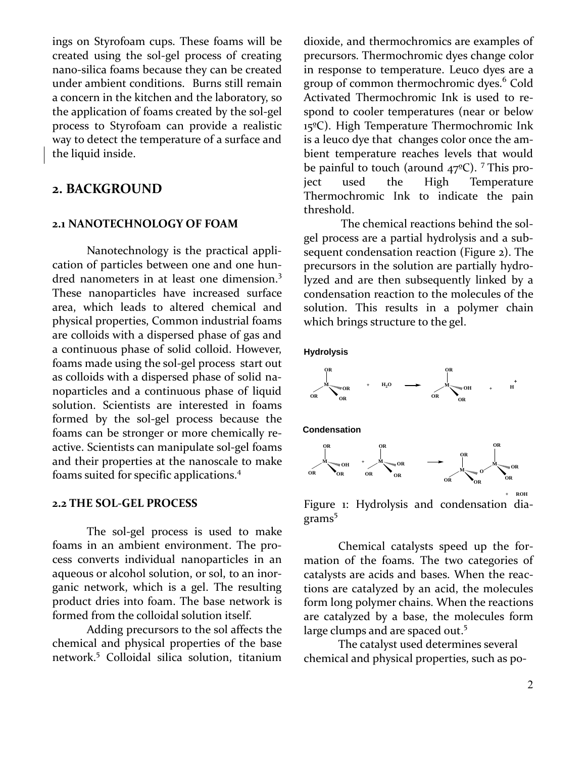ings on Styrofoam cups. These foams will be created using the sol-gel process of creating nano-silica foams because they can be created under ambient conditions. Burns still remain a concern in the kitchen and the laboratory, so the application of foams created by the sol-gel process to Styrofoam can provide a realistic way to detect the temperature of a surface and the liquid inside.

# **2. BACKGROUND**

#### **2.1 NANOTECHNOLOGY OF FOAM**

Nanotechnology is the practical application of particles between one and one hundred nanometers in at least one dimension.<sup>3</sup> These nanoparticles have increased surface area, which leads to altered chemical and physical properties, Common industrial foams are colloids with a dispersed phase of gas and a continuous phase of solid colloid. However, foams made using the sol-gel process start out as colloids with a dispersed phase of solid nanoparticles and a continuous phase of liquid solution. Scientists are interested in foams formed by the sol-gel process because the foams can be stronger or more chemically reactive. Scientists can manipulate sol-gel foams and their properties at the nanoscale to make foams suited for specific applications. 4

#### **2.2 THE SOL-GEL PROCESS**

The sol-gel process is used to make foams in an ambient environment. The process converts individual nanoparticles in an aqueous or alcohol solution, or sol, to an inorganic network, which is a gel. The resulting product dries into foam. The base network is formed from the colloidal solution itself.

Adding precursors to the sol affects the chemical and physical properties of the base network. <sup>5</sup> Colloidal silica solution, titanium

dioxide, and thermochromics are examples of precursors. Thermochromic dyes change color in response to temperature. Leuco dyes are a group of common thermochromic dyes. <sup>6</sup> Cold Activated Thermochromic Ink is used to respond to cooler temperatures (near or below 15ºC). High Temperature Thermochromic Ink is a leuco dye that changes color once the ambient temperature reaches levels that would be painful to touch (around 47<sup>o</sup>C). <sup>7</sup> This project used the High Temperature Thermochromic Ink to indicate the pain threshold.

The chemical reactions behind the solgel process are a partial hydrolysis and a subsequent condensation reaction (Figure 2). The precursors in the solution are partially hydrolyzed and are then subsequently linked by a condensation reaction to the molecules of the solution. This results in a polymer chain which brings structure to the gel.

**Hydrolysis**



**Condensation**



Figure 1: Hydrolysis and condensation diagrams<sup>5</sup>

Chemical catalysts speed up the formation of the foams. The two categories of catalysts are acids and bases. When the reactions are catalyzed by an acid, the molecules form long polymer chains. When the reactions are catalyzed by a base, the molecules form large clumps and are spaced out.<sup>5</sup>

The catalyst used determines several chemical and physical properties, such as po-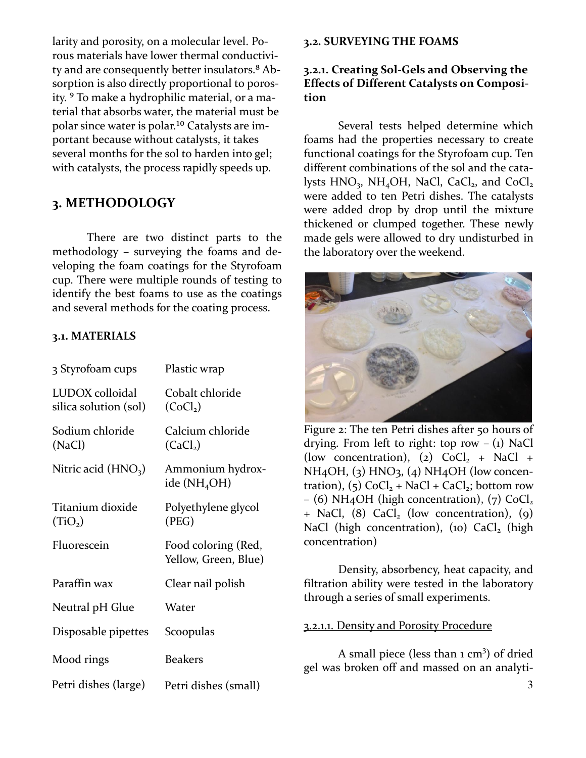larity and porosity, on a molecular level. Porous materials have lower thermal conductivity and are consequently better insulators.<sup>8</sup> Absorption is also directly proportional to porosity. <sup>9</sup> To make a hydrophilic material, or a material that absorbs water, the material must be polar since water is polar.<sup>10</sup> Catalysts are important because without catalysts, it takes several months for the sol to harden into gel; with catalysts, the process rapidly speeds up.

# **3. METHODOLOGY**

There are two distinct parts to the methodology – surveying the foams and developing the foam coatings for the Styrofoam cup. There were multiple rounds of testing to identify the best foams to use as the coatings and several methods for the coating process.

#### **3.1. MATERIALS**

| 3 Styrofoam cups                         | Plastic wrap                                 |
|------------------------------------------|----------------------------------------------|
| LUDOX colloidal<br>silica solution (sol) | Cobalt chloride<br>(CoCl <sub>2</sub> )      |
| Sodium chloride<br>(NaCl)                | Calcium chloride<br>(CaCl <sub>2</sub> )     |
| Nitric acid $(HNO3)$                     | Ammonium hydrox-<br>ide (NH <sub>4</sub> OH) |
| Titanium dioxide<br>(TiO <sub>2</sub> )  | Polyethylene glycol<br>(PEG)                 |
| Fluorescein                              | Food coloring (Red,<br>Yellow, Green, Blue)  |
| Paraffin wax                             | Clear nail polish                            |
| Neutral pH Glue                          | Water                                        |
| Disposable pipettes                      | Scoopulas                                    |
| Mood rings                               | <b>Beakers</b>                               |
| Petri dishes (large)                     | Petri dishes (small)                         |

#### **3.2. SURVEYING THE FOAMS**

#### **3.2.1. Creating Sol-Gels and Observing the Effects of Different Catalysts on Composition**

Several tests helped determine which foams had the properties necessary to create functional coatings for the Styrofoam cup. Ten different combinations of the sol and the catalysts  $HNO<sub>3</sub>$ , NH<sub>4</sub>OH, NaCl, CaCl<sub>2</sub>, and CoCl<sub>2</sub> were added to ten Petri dishes. The catalysts were added drop by drop until the mixture thickened or clumped together. These newly made gels were allowed to dry undisturbed in the laboratory over the weekend.



Figure 2: The ten Petri dishes after 50 hours of drying. From left to right: top row  $- (1)$  NaCl (low concentration), (2)  $CoCl<sub>2</sub> + NaCl +$  $NH<sub>4</sub>OH$ , (3) HNO<sub>3</sub>, (4) NH<sub>4</sub>OH (low concentration),  $(5)$  CoCl<sub>2</sub> + NaCl + CaCl<sub>2</sub>; bottom row – (6) NH<sub>4</sub>OH (high concentration), (7)  $CoCl<sub>2</sub>$  $+$  NaCl, (8) CaCl<sub>2</sub> (low concentration), (9) NaCl (high concentration), (10)  $CaCl<sub>2</sub>$  (high concentration)

Density, absorbency, heat capacity, and filtration ability were tested in the laboratory through a series of small experiments.

#### 3.2.1.1. Density and Porosity Procedure

A small piece (less than  $1 \text{ cm}^3$ ) of dried gel was broken off and massed on an analyti-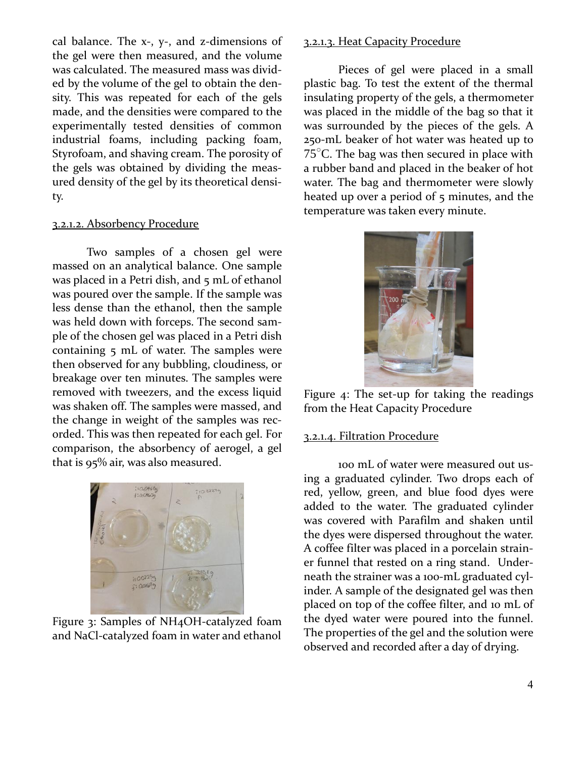cal balance. The x-, y-, and z-dimensions of the gel were then measured, and the volume was calculated. The measured mass was divided by the volume of the gel to obtain the density. This was repeated for each of the gels made, and the densities were compared to the experimentally tested densities of common industrial foams, including packing foam, Styrofoam, and shaving cream. The porosity of the gels was obtained by dividing the measured density of the gel by its theoretical density.

#### 3.2.1.2. Absorbency Procedure

Two samples of a chosen gel were massed on an analytical balance. One sample was placed in a Petri dish, and 5 mL of ethanol was poured over the sample. If the sample was less dense than the ethanol, then the sample was held down with forceps. The second sample of the chosen gel was placed in a Petri dish containing 5 mL of water. The samples were then observed for any bubbling, cloudiness, or breakage over ten minutes. The samples were removed with tweezers, and the excess liquid was shaken off. The samples were massed, and the change in weight of the samples was recorded. This was then repeated for each gel. For comparison, the absorbency of aerogel, a gel that is 95% air, was also measured.



Figure 3: Samples of NH4OH-catalyzed foam and NaCl-catalyzed foam in water and ethanol

#### 3.2.1.3. Heat Capacity Procedure

Pieces of gel were placed in a small plastic bag. To test the extent of the thermal insulating property of the gels, a thermometer was placed in the middle of the bag so that it was surrounded by the pieces of the gels. A 250-mL beaker of hot water was heated up to  $75^{\circ}$ C. The bag was then secured in place with a rubber band and placed in the beaker of hot water. The bag and thermometer were slowly heated up over a period of 5 minutes, and the temperature was taken every minute.



Figure 4: The set-up for taking the readings from the Heat Capacity Procedure

#### 3.2.1.4. Filtration Procedure

100 mL of water were measured out using a graduated cylinder. Two drops each of red, yellow, green, and blue food dyes were added to the water. The graduated cylinder was covered with Parafilm and shaken until the dyes were dispersed throughout the water. A coffee filter was placed in a porcelain strainer funnel that rested on a ring stand. Underneath the strainer was a 100-mL graduated cylinder. A sample of the designated gel was then placed on top of the coffee filter, and 10 mL of the dyed water were poured into the funnel. The properties of the gel and the solution were observed and recorded after a day of drying.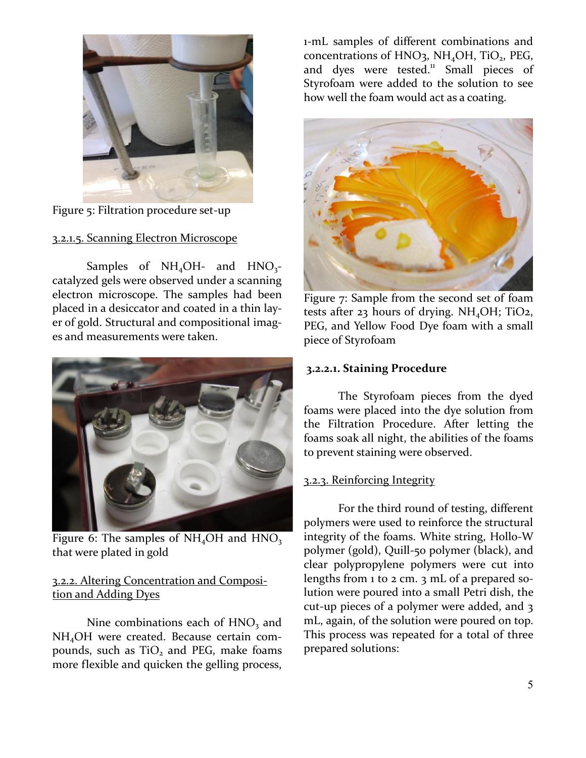

Figure 5: Filtration procedure set-up

#### 3.2.1.5. Scanning Electron Microscope

Samples of  $NH_4OH$ - and  $HNO_3$ catalyzed gels were observed under a scanning electron microscope. The samples had been placed in a desiccator and coated in a thin layer of gold. Structural and compositional images and measurements were taken.



Figure 6: The samples of  $NH<sub>4</sub>OH$  and  $HNO<sub>3</sub>$ that were plated in gold

## 3.2.2. Altering Concentration and Composition and Adding Dyes

Nine combinations each of  $HNO<sub>3</sub>$  and NH4OH were created. Because certain compounds, such as  $TiO<sub>2</sub>$  and PEG, make foams more flexible and quicken the gelling process,

1-mL samples of different combinations and concentrations of HNO<sub>3</sub>, NH<sub>4</sub>OH, TiO<sub>2</sub>, PEG, and dyes were tested. $\frac{11}{11}$  Small pieces of Styrofoam were added to the solution to see how well the foam would act as a coating.



Figure 7: Sample from the second set of foam tests after 23 hours of drying.  $NH<sub>4</sub>OH$ ; TiO2, PEG, and Yellow Food Dye foam with a small piece of Styrofoam

#### **3.2.2.1. Staining Procedure**

The Styrofoam pieces from the dyed foams were placed into the dye solution from the Filtration Procedure. After letting the foams soak all night, the abilities of the foams to prevent staining were observed.

## 3.2.3. Reinforcing Integrity

For the third round of testing, different polymers were used to reinforce the structural integrity of the foams. White string, Hollo-W polymer (gold), Quill-50 polymer (black), and clear polypropylene polymers were cut into lengths from 1 to 2 cm. 3 mL of a prepared solution were poured into a small Petri dish, the cut-up pieces of a polymer were added, and 3 mL, again, of the solution were poured on top. This process was repeated for a total of three prepared solutions: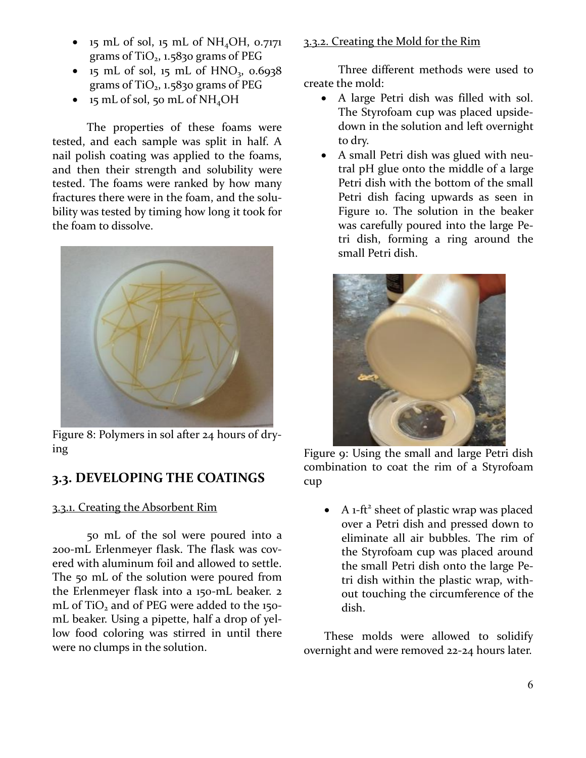- $\bullet$  15 mL of sol, 15 mL of NH<sub>4</sub>OH, 0.7171 grams of  $TiO<sub>2</sub>$ , 1.5830 grams of PEG
- $\bullet$  15 mL of sol, 15 mL of HNO<sub>3</sub>, 0.6938 grams of  $TiO<sub>2</sub>$ , 1.5830 grams of PEG
- $\bullet$  15 mL of sol, 50 mL of NH<sub>4</sub>OH

The properties of these foams were tested, and each sample was split in half. A nail polish coating was applied to the foams, and then their strength and solubility were tested. The foams were ranked by how many fractures there were in the foam, and the solubility was tested by timing how long it took for the foam to dissolve.



Figure 8: Polymers in sol after 24 hours of drying

# **3.3. DEVELOPING THE COATINGS**

# 3.3.1. Creating the Absorbent Rim

50 mL of the sol were poured into a 200-mL Erlenmeyer flask. The flask was covered with aluminum foil and allowed to settle. The 50 mL of the solution were poured from the Erlenmeyer flask into a 150-mL beaker. 2 mL of TiO<sub>2</sub> and of PEG were added to the 150mL beaker. Using a pipette, half a drop of yellow food coloring was stirred in until there were no clumps in the solution.

## 3.3.2. Creating the Mold for the Rim

Three different methods were used to create the mold:

- A large Petri dish was filled with sol. The Styrofoam cup was placed upsidedown in the solution and left overnight to dry.
- A small Petri dish was glued with neutral pH glue onto the middle of a large Petri dish with the bottom of the small Petri dish facing upwards as seen in Figure 10. The solution in the beaker was carefully poured into the large Petri dish, forming a ring around the small Petri dish.



Figure 9: Using the small and large Petri dish combination to coat the rim of a Styrofoam cup

 $\bullet$  A 1-ft<sup>2</sup> sheet of plastic wrap was placed over a Petri dish and pressed down to eliminate all air bubbles. The rim of the Styrofoam cup was placed around the small Petri dish onto the large Petri dish within the plastic wrap, without touching the circumference of the dish.

These molds were allowed to solidify overnight and were removed 22-24 hours later.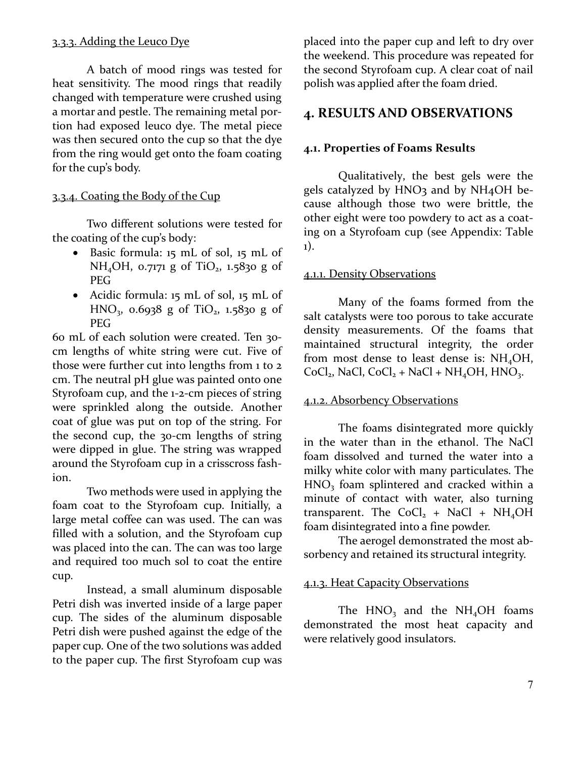#### 3.3.3. Adding the Leuco Dye

A batch of mood rings was tested for heat sensitivity. The mood rings that readily changed with temperature were crushed using a mortar and pestle. The remaining metal portion had exposed leuco dye. The metal piece was then secured onto the cup so that the dye from the ring would get onto the foam coating for the cup's body.

#### 3.3.4. Coating the Body of the Cup

Two different solutions were tested for the coating of the cup's body:

- Basic formula: 15 mL of sol, 15 mL of NH<sub>4</sub>OH, 0.7171 g of TiO<sub>2</sub>, 1.5830 g of PEG
- Acidic formula: 15 mL of sol, 15 mL of HNO<sub>3</sub>, 0.6938 g of TiO<sub>2</sub>, 1.5830 g of PEG

60 mL of each solution were created. Ten 30 cm lengths of white string were cut. Five of those were further cut into lengths from 1 to 2 cm. The neutral pH glue was painted onto one Styrofoam cup, and the 1-2-cm pieces of string were sprinkled along the outside. Another coat of glue was put on top of the string. For the second cup, the 30-cm lengths of string were dipped in glue. The string was wrapped around the Styrofoam cup in a crisscross fashion.

Two methods were used in applying the foam coat to the Styrofoam cup. Initially, a large metal coffee can was used. The can was filled with a solution, and the Styrofoam cup was placed into the can. The can was too large and required too much sol to coat the entire cup.

Instead, a small aluminum disposable Petri dish was inverted inside of a large paper cup. The sides of the aluminum disposable Petri dish were pushed against the edge of the paper cup. One of the two solutions was added to the paper cup. The first Styrofoam cup was

placed into the paper cup and left to dry over the weekend. This procedure was repeated for the second Styrofoam cup. A clear coat of nail polish was applied after the foam dried.

# **4. RESULTS AND OBSERVATIONS**

### **4.1. Properties of Foams Results**

Qualitatively, the best gels were the gels catalyzed by HNO3 and by NH<sub>4</sub>OH because although those two were brittle, the other eight were too powdery to act as a coating on a Styrofoam cup (see Appendix: Table 1).

#### 4.1.1. Density Observations

Many of the foams formed from the salt catalysts were too porous to take accurate density measurements. Of the foams that maintained structural integrity, the order from most dense to least dense is:  $NH<sub>4</sub>OH$ ,  $CoCl<sub>2</sub>$ , NaCl,  $CoCl<sub>2</sub> + NaCl + NH<sub>4</sub>OH$ , HNO<sub>3</sub>.

#### 4.1.2. Absorbency Observations

The foams disintegrated more quickly in the water than in the ethanol. The NaCl foam dissolved and turned the water into a milky white color with many particulates. The HNO<sub>3</sub> foam splintered and cracked within a minute of contact with water, also turning transparent. The CoCl<sub>2</sub> + NaCl + NH<sub>4</sub>OH foam disintegrated into a fine powder.

The aerogel demonstrated the most absorbency and retained its structural integrity.

#### 4.1.3. Heat Capacity Observations

The  $HNO<sub>3</sub>$  and the  $NH<sub>4</sub>OH$  foams demonstrated the most heat capacity and were relatively good insulators.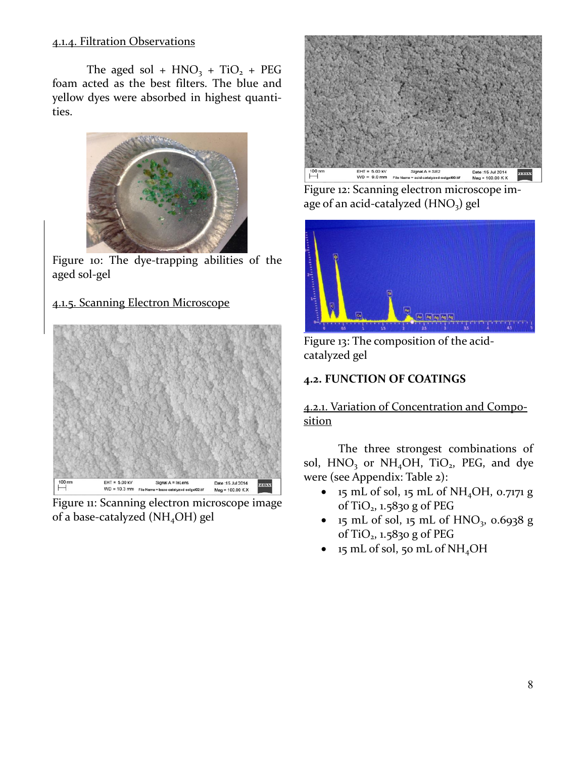#### 4.1.4. Filtration Observations

The aged sol +  $HNO<sub>3</sub> + TiO<sub>2</sub> + PEG$ foam acted as the best filters. The blue and yellow dyes were absorbed in highest quantities.



Figure 10: The dye-trapping abilities of the aged sol-gel

# 4.1.5. Scanning Electron Microscope



Figure 11: Scanning electron microscope image of a base-catalyzed ( $NH<sub>4</sub>OH$ ) gel



Figure 12: Scanning electron microscope image of an acid-catalyzed  $(HNO<sub>3</sub>)$  gel



Figure 13: The composition of the acidcatalyzed gel

# **4.2. FUNCTION OF COATINGS**

4.2.1. Variation of Concentration and Composition

The three strongest combinations of sol,  $HNO<sub>3</sub>$  or  $NH<sub>4</sub>OH$ , TiO<sub>2</sub>, PEG, and dye were (see Appendix: Table 2):

- $\bullet$  15 mL of sol, 15 mL of NH<sub>4</sub>OH, 0.7171 g of TiO2, 1.5830 g of PEG
- 15 mL of sol, 15 mL of  $HNO_3$ , 0.6938 g of TiO2, 1.5830 g of PEG
- 15 mL of sol, 50 mL of NH4OH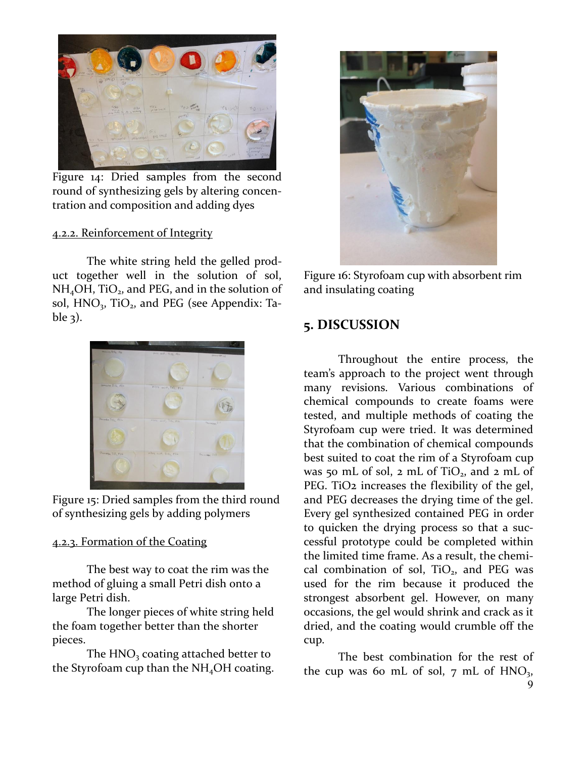

Figure 14: Dried samples from the second round of synthesizing gels by altering concentration and composition and adding dyes

#### 4.2.2. Reinforcement of Integrity

The white string held the gelled product together well in the solution of sol,  $NH<sub>4</sub>OH$ , TiO<sub>2</sub>, and PEG, and in the solution of sol,  $HNO<sub>3</sub>$ , TiO<sub>2</sub>, and PEG (see Appendix: Table  $3$ ).



Figure 15: Dried samples from the third round of synthesizing gels by adding polymers

#### 4.2.3. Formation of the Coating

The best way to coat the rim was the method of gluing a small Petri dish onto a large Petri dish.

The longer pieces of white string held the foam together better than the shorter pieces.

The HNO<sub>3</sub> coating attached better to the Styrofoam cup than the  $NH<sub>4</sub>OH$  coating.



Figure 16: Styrofoam cup with absorbent rim and insulating coating

# **5. DISCUSSION**

Throughout the entire process, the team's approach to the project went through many revisions. Various combinations of chemical compounds to create foams were tested, and multiple methods of coating the Styrofoam cup were tried. It was determined that the combination of chemical compounds best suited to coat the rim of a Styrofoam cup was 50 mL of sol,  $2 \text{ mL of TiO}_2$ , and  $2 \text{ mL of}$ PEG. TiO<sub>2</sub> increases the flexibility of the gel, and PEG decreases the drying time of the gel. Every gel synthesized contained PEG in order to quicken the drying process so that a successful prototype could be completed within the limited time frame. As a result, the chemical combination of sol,  $TiO<sub>2</sub>$ , and PEG was used for the rim because it produced the strongest absorbent gel. However, on many occasions, the gel would shrink and crack as it dried, and the coating would crumble off the cup.

The best combination for the rest of the cup was 60 mL of sol,  $7 \text{ mL of HNO}_3$ ,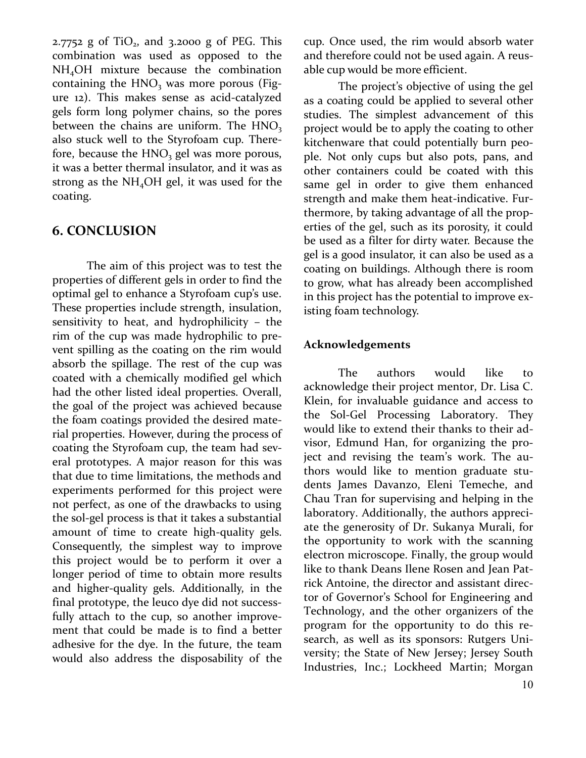$2.7752$  g of TiO<sub>2</sub>, and  $3.2000$  g of PEG. This combination was used as opposed to the NH4OH mixture because the combination containing the  $HNO<sub>3</sub>$  was more porous (Figure 12). This makes sense as acid-catalyzed gels form long polymer chains, so the pores between the chains are uniform. The  $HNO<sub>3</sub>$ also stuck well to the Styrofoam cup. Therefore, because the  $HNO<sub>3</sub>$  gel was more porous, it was a better thermal insulator, and it was as strong as the  $NH<sub>4</sub>OH$  gel, it was used for the coating.

# **6. CONCLUSION**

 The aim of this project was to test the properties of different gels in order to find the optimal gel to enhance a Styrofoam cup's use. These properties include strength, insulation, sensitivity to heat, and hydrophilicity – the rim of the cup was made hydrophilic to prevent spilling as the coating on the rim would absorb the spillage. The rest of the cup was coated with a chemically modified gel which had the other listed ideal properties. Overall, the goal of the project was achieved because the foam coatings provided the desired material properties. However, during the process of coating the Styrofoam cup, the team had several prototypes. A major reason for this was that due to time limitations, the methods and experiments performed for this project were not perfect, as one of the drawbacks to using the sol-gel process is that it takes a substantial amount of time to create high-quality gels. Consequently, the simplest way to improve this project would be to perform it over a longer period of time to obtain more results and higher-quality gels. Additionally, in the final prototype, the leuco dye did not successfully attach to the cup, so another improvement that could be made is to find a better adhesive for the dye. In the future, the team would also address the disposability of the

cup. Once used, the rim would absorb water and therefore could not be used again. A reusable cup would be more efficient.

The project's objective of using the gel as a coating could be applied to several other studies. The simplest advancement of this project would be to apply the coating to other kitchenware that could potentially burn people. Not only cups but also pots, pans, and other containers could be coated with this same gel in order to give them enhanced strength and make them heat-indicative. Furthermore, by taking advantage of all the properties of the gel, such as its porosity, it could be used as a filter for dirty water. Because the gel is a good insulator, it can also be used as a coating on buildings. Although there is room to grow, what has already been accomplished in this project has the potential to improve existing foam technology.

#### **Acknowledgements**

The authors would like to acknowledge their project mentor, Dr. Lisa C. Klein, for invaluable guidance and access to the Sol-Gel Processing Laboratory. They would like to extend their thanks to their advisor, Edmund Han, for organizing the project and revising the team's work. The authors would like to mention graduate students James Davanzo, Eleni Temeche, and Chau Tran for supervising and helping in the laboratory. Additionally, the authors appreciate the generosity of Dr. Sukanya Murali, for the opportunity to work with the scanning electron microscope. Finally, the group would like to thank Deans Ilene Rosen and Jean Patrick Antoine, the director and assistant director of Governor's School for Engineering and Technology, and the other organizers of the program for the opportunity to do this research, as well as its sponsors: Rutgers University; the State of New Jersey; Jersey South Industries, Inc.; Lockheed Martin; Morgan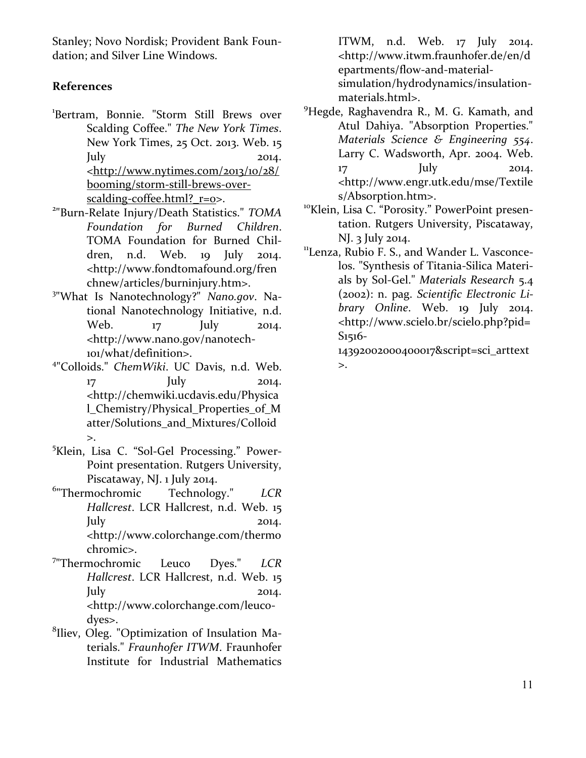Stanley; Novo Nordisk; Provident Bank Foundation; and Silver Line Windows.

# **References**

- 1 Bertram, Bonnie. "Storm Still Brews over Scalding Coffee." *The New York Times*. New York Times, 25 Oct. 2013. Web. 15  $\text{July}$  2014.  $\langle \frac{http://www.nytimes.com/2013/10/28}{$ [booming/storm-still-brews-over](http://www.nytimes.com/2013/10/28/booming/storm-still-brews-over-scalding-coffee.html?_r=0)[scalding-coffee.html?\\_r=0>](http://www.nytimes.com/2013/10/28/booming/storm-still-brews-over-scalding-coffee.html?_r=0).
- 2 "Burn-Relate Injury/Death Statistics." *TOMA Foundation for Burned Children*. TOMA Foundation for Burned Children, n.d. Web. 19 July 2014. <http://www.fondtomafound.org/fren chnew/articles/burninjury.htm>.
- 3 "What Is Nanotechnology?" *Nano.gov*. National Nanotechnology Initiative, n.d. Web. 17 July 2014. <http://www.nano.gov/nanotech-101/what/definition>.
- 4 "Colloids." *ChemWiki*. UC Davis, n.d. Web. 17 **July** 2014. <http://chemwiki.ucdavis.edu/Physica l\_Chemistry/Physical\_Properties\_of\_M atter/Solutions\_and\_Mixtures/Colloid  $\mathbf{L}$
- <sup>5</sup>Klein, Lisa C. "Sol-Gel Processing." Power-Point presentation. Rutgers University, Piscataway, NJ. 1 July 2014.
- 6 "Thermochromic Technology." *LCR Hallcrest*. LCR Hallcrest, n.d. Web. 15 July 2014. <http://www.colorchange.com/thermo chromic>.
- 7 "Thermochromic Leuco Dyes." *LCR Hallcrest*. LCR Hallcrest, n.d. Web. 15  $\text{July}$  2014. <http://www.colorchange.com/leucodyes>.
- <sup>8</sup>Iliev, Oleg. "Optimization of Insulation Materials." *Fraunhofer ITWM*. Fraunhofer Institute for Industrial Mathematics

ITWM, n.d. Web. 17 July 2014. <http://www.itwm.fraunhofer.de/en/d epartments/flow-and-materialsimulation/hydrodynamics/insulationmaterials.html>.

- <sup>9</sup>Hegde, Raghavendra R., M. G. Kamath, and Atul Dahiya. "Absorption Properties." *Materials Science & Engineering 554*. Larry C. Wadsworth, Apr. 2004. Web. 17 **July** 2014. <http://www.engr.utk.edu/mse/Textile s/Absorption.htm>.
- <sup>10</sup>Klein, Lisa C. "Porosity." PowerPoint presentation. Rutgers University, Piscataway, NJ. 3 July 2014.
- <sup>11</sup>Lenza, Rubio F. S., and Wander L. Vasconcelos. "Synthesis of Titania-Silica Materials by Sol-Gel." *Materials Research* 5.4 (2002): n. pag. *Scientific Electronic Library Online*. Web. 19 July 2014. <http://www.scielo.br/scielo.php?pid= S1516-

14392002000400017&script=sci\_arttext >.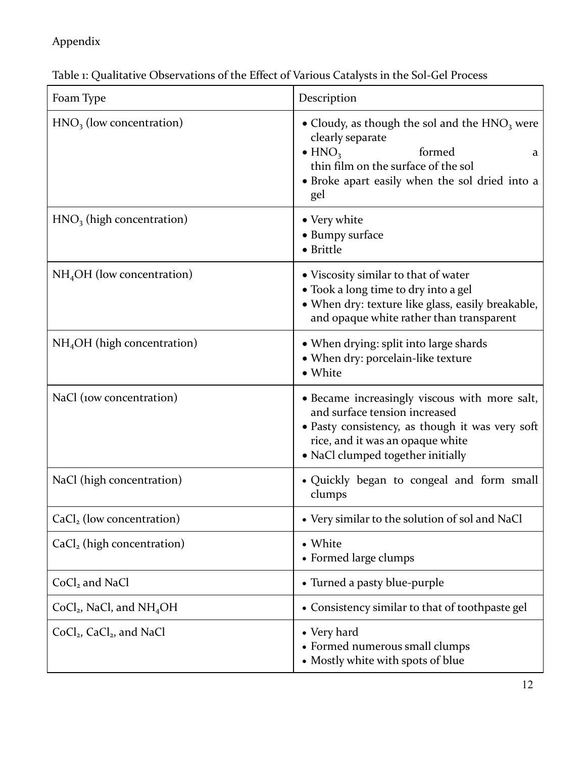# Appendix

Table 1: Qualitative Observations of the Effect of Various Catalysts in the Sol-Gel Process

| Foam Type                              | Description                                                                                                                                                                                                      |
|----------------------------------------|------------------------------------------------------------------------------------------------------------------------------------------------------------------------------------------------------------------|
| $HNO3$ (low concentration)             | • Cloudy, as though the sol and the $HNO3$ were<br>clearly separate<br>$\bullet$ HNO <sub>3</sub><br>formed<br>a<br>thin film on the surface of the sol<br>• Broke apart easily when the sol dried into a<br>gel |
| $HNO3$ (high concentration)            | • Very white<br>• Bumpy surface<br>• Brittle                                                                                                                                                                     |
| $NH4OH$ (low concentration)            | • Viscosity similar to that of water<br>• Took a long time to dry into a gel<br>• When dry: texture like glass, easily breakable,<br>and opaque white rather than transparent                                    |
| $NH4OH$ (high concentration)           | • When drying: split into large shards<br>• When dry: porcelain-like texture<br>• White                                                                                                                          |
| NaCl (10w concentration)               | · Became increasingly viscous with more salt,<br>and surface tension increased<br>• Pasty consistency, as though it was very soft<br>rice, and it was an opaque white<br>• NaCl clumped together initially       |
| NaCl (high concentration)              | • Quickly began to congeal and form small<br>clumps                                                                                                                                                              |
| $CaCl2$ (low concentration)            | • Very similar to the solution of sol and NaCl                                                                                                                                                                   |
| CaCl <sub>2</sub> (high concentration) | • White<br>• Formed large clumps                                                                                                                                                                                 |
| $CoCl2$ and NaCl                       | • Turned a pasty blue-purple                                                                                                                                                                                     |
| $CoCl2$ , NaCl, and NH <sub>4</sub> OH | • Consistency similar to that of toothpaste gel                                                                                                                                                                  |
| $CoCl2$ , $CaCl2$ , and NaCl           | • Very hard<br>• Formed numerous small clumps<br>• Mostly white with spots of blue                                                                                                                               |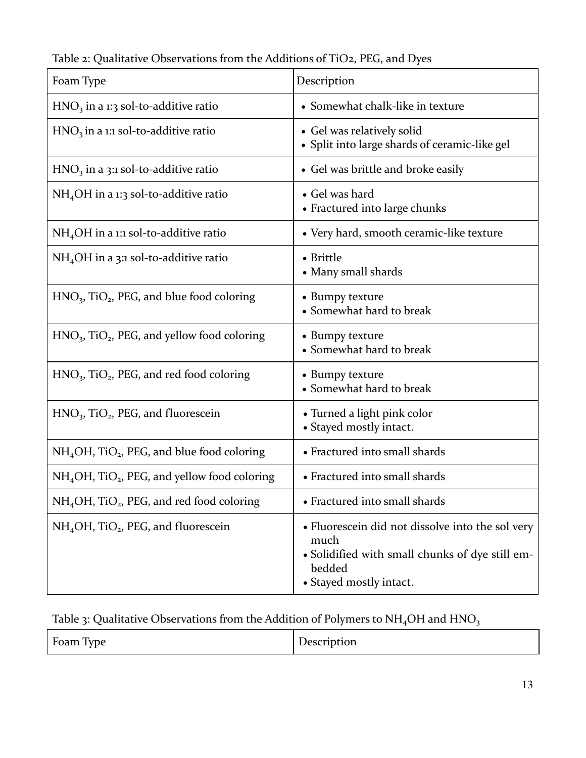| Foam Type                                                            | Description                                                                                                                                      |
|----------------------------------------------------------------------|--------------------------------------------------------------------------------------------------------------------------------------------------|
| $HNO3$ in a 1:3 sol-to-additive ratio                                | • Somewhat chalk-like in texture                                                                                                                 |
| $HNO3$ in a 1:1 sol-to-additive ratio                                | • Gel was relatively solid<br>• Split into large shards of ceramic-like gel                                                                      |
| $HNO3$ in a 3:1 sol-to-additive ratio                                | • Gel was brittle and broke easily                                                                                                               |
| $NH4OH$ in a 1:3 sol-to-additive ratio                               | • Gel was hard<br>• Fractured into large chunks                                                                                                  |
| $NH4OH$ in a 1:1 sol-to-additive ratio                               | • Very hard, smooth ceramic-like texture                                                                                                         |
| $NH4OH$ in a 3:1 sol-to-additive ratio                               | • Brittle<br>• Many small shards                                                                                                                 |
| $HNO3$ , TiO <sub>2</sub> , PEG, and blue food coloring              | • Bumpy texture<br>• Somewhat hard to break                                                                                                      |
| $HNO3$ , TiO <sub>2</sub> , PEG, and yellow food coloring            | • Bumpy texture<br>• Somewhat hard to break                                                                                                      |
| $HNO3$ , TiO <sub>2</sub> , PEG, and red food coloring               | • Bumpy texture<br>• Somewhat hard to break                                                                                                      |
| $HNO3$ , TiO <sub>2</sub> , PEG, and fluorescein                     | • Turned a light pink color<br>• Stayed mostly intact.                                                                                           |
| $NH4OH$ , TiO <sub>2</sub> , PEG, and blue food coloring             | • Fractured into small shards                                                                                                                    |
| NH <sub>4</sub> OH, TiO <sub>2</sub> , PEG, and yellow food coloring | • Fractured into small shards                                                                                                                    |
| NH <sub>4</sub> OH, TiO <sub>2</sub> , PEG, and red food coloring    | • Fractured into small shards                                                                                                                    |
| $NH4OH$ , TiO <sub>2</sub> , PEG, and fluorescein                    | • Fluorescein did not dissolve into the sol very<br>much<br>• Solidified with small chunks of dye still em-<br>bedded<br>• Stayed mostly intact. |

Table 2: Qualitative Observations from the Additions of TiO2, PEG, and Dyes

# Table 3: Qualitative Observations from the Addition of Polymers to  $NH_4OH$  and  $HNO_3$

| Ē<br>$\mathbf{r}$<br>Foam Type | Description |
|--------------------------------|-------------|
|--------------------------------|-------------|